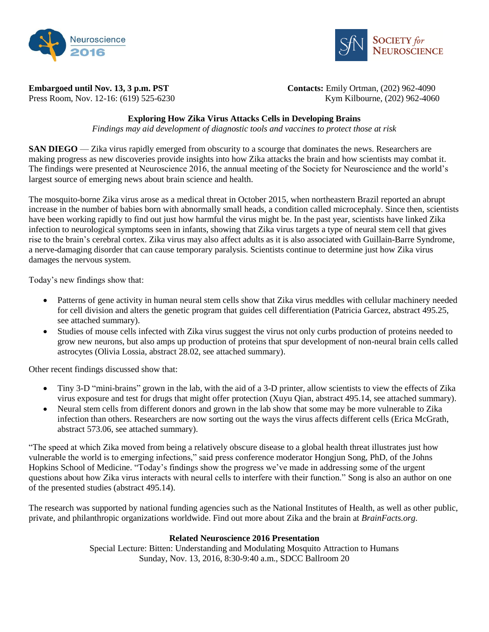



**Embargoed until Nov. 13, 3 p.m. PST** Contacts: Emily Ortman, (202) 962-4090 Press Room, Nov. 12-16: (619) 525-6230 Kym Kilbourne, (202) 962-4060

# **Exploring How Zika Virus Attacks Cells in Developing Brains**

*Findings may aid development of diagnostic tools and vaccines to protect those at risk*

**SAN DIEGO** — Zika virus rapidly emerged from obscurity to a scourge that dominates the news. Researchers are making progress as new discoveries provide insights into how Zika attacks the brain and how scientists may combat it. The findings were presented at Neuroscience 2016, the annual meeting of the Society for Neuroscience and the world's largest source of emerging news about brain science and health.

The mosquito-borne Zika virus arose as a medical threat in October 2015, when northeastern Brazil reported an abrupt increase in the number of babies born with abnormally small heads, a condition called microcephaly. Since then, scientists have been working rapidly to find out just how harmful the virus might be. In the past year, scientists have linked Zika infection to neurological symptoms seen in infants, showing that Zika virus targets a type of neural stem cell that gives rise to the brain's cerebral cortex. Zika virus may also affect adults as it is also associated with Guillain-Barre Syndrome, a nerve-damaging disorder that can cause temporary paralysis. Scientists continue to determine just how Zika virus damages the nervous system.

Today's new findings show that:

- Patterns of gene activity in human neural stem cells show that Zika virus meddles with cellular machinery needed for cell division and alters the genetic program that guides cell differentiation (Patricia Garcez, abstract 495.25, see attached summary).
- Studies of mouse cells infected with Zika virus suggest the virus not only curbs production of proteins needed to grow new neurons, but also amps up production of proteins that spur development of non-neural brain cells called astrocytes (Olivia Lossia, abstract 28.02, see attached summary).

Other recent findings discussed show that:

- Tiny 3-D "mini-brains" grown in the lab, with the aid of a 3-D printer, allow scientists to view the effects of Zika virus exposure and test for drugs that might offer protection (Xuyu Qian, abstract 495.14, see attached summary).
- Neural stem cells from different donors and grown in the lab show that some may be more vulnerable to Zika infection than others. Researchers are now sorting out the ways the virus affects different cells (Erica McGrath, abstract 573.06, see attached summary).

"The speed at which Zika moved from being a relatively obscure disease to a global health threat illustrates just how vulnerable the world is to emerging infections," said press conference moderator Hongjun Song, PhD, of the Johns Hopkins School of Medicine. "Today's findings show the progress we've made in addressing some of the urgent questions about how Zika virus interacts with neural cells to interfere with their function." Song is also an author on one of the presented studies (abstract 495.14).

The research was supported by national funding agencies such as the National Institutes of Health, as well as other public, private, and philanthropic organizations worldwide. Find out more about Zika and the brain at *BrainFacts.org*.

## **Related Neuroscience 2016 Presentation**

Special Lecture: Bitten: Understanding and Modulating Mosquito Attraction to Humans Sunday, Nov. 13, 2016, 8:30-9:40 a.m., SDCC Ballroom 20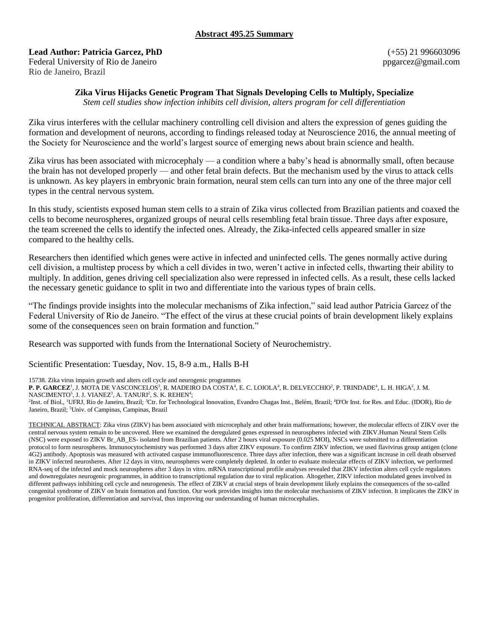### **Abstract 495.25 Summary**

#### **Lead Author: Patricia Garcez, PhD**

Federal University of Rio de Janeiro Rio de Janeiro, Brazil

(+55) 21 996603096 ppgarcez@gmail.com

### **Zika Virus Hijacks Genetic Program That Signals Developing Cells to Multiply, Specialize**

*Stem cell studies show infection inhibits cell division, alters program for cell differentiation*

Zika virus interferes with the cellular machinery controlling cell division and alters the expression of genes guiding the formation and development of neurons, according to findings released today at Neuroscience 2016, the annual meeting of the Society for Neuroscience and the world's largest source of emerging news about brain science and health.

Zika virus has been associated with microcephaly — a condition where a baby's head is abnormally small, often because the brain has not developed properly — and other fetal brain defects. But the mechanism used by the virus to attack cells is unknown. As key players in embryonic brain formation, neural stem cells can turn into any one of the three major cell types in the central nervous system.

In this study, scientists exposed human stem cells to a strain of Zika virus collected from Brazilian patients and coaxed the cells to become neurospheres, organized groups of neural cells resembling fetal brain tissue. Three days after exposure, the team screened the cells to identify the infected ones. Already, the Zika-infected cells appeared smaller in size compared to the healthy cells.

Researchers then identified which genes were active in infected and uninfected cells. The genes normally active during cell division, a multistep process by which a cell divides in two, weren't active in infected cells, thwarting their ability to multiply. In addition, genes driving cell specialization also were repressed in infected cells. As a result, these cells lacked the necessary genetic guidance to split in two and differentiate into the various types of brain cells.

"The findings provide insights into the molecular mechanisms of Zika infection," said lead author Patricia Garcez of the Federal University of Rio de Janeiro. "The effect of the virus at these crucial points of brain development likely explains some of the consequences seen on brain formation and function."

Research was supported with funds from the International Society of Neurochemistry.

Scientific Presentation: Tuesday, Nov. 15, 8-9 a.m., Halls B-H

15738. Zika virus impairs growth and alters cell cycle and neurogenic programmes

**P. P. GARCEZ'**, J. MOTA DE VASCONCELOS<sup>3</sup>, R. MADEIRO DA COSTA<sup>4</sup>, E. C. LOIOLA<sup>4</sup>, R. DELVECCHIO<sup>2</sup>, P. TRINDADE<sup>4</sup>, L. H. HIGA<sup>2</sup>, J. M.

NASCIMENTO $^5$ , J. J. VIANEZ $^3$ , A. TANURI $^2$ , S. K. REHEN $^4;$ 

<sup>2</sup>Inst. of Biol., <sup>1</sup>UFRJ, Rio de Janeiro, Brazil; <sup>3</sup>Ctr. for Technological Innovation, Evandro Chagas Inst., Belém, Brazil; <sup>4</sup>D'Or Inst. for Res. and Educ. (IDOR), Rio de Janeiro, Brazil; <sup>5</sup>Univ. of Campinas, Campinas, Brazil

TECHNICAL ABSTRACT: Zika virus (ZIKV) has been associated with microcephaly and other brain malformations; however, the molecular effects of ZIKV over the central nervous system remain to be uncovered. Here we examined the deregulated genes expressed in neurospheres infected with ZIKV.Human Neural Stem Cells (NSC) were exposed to ZIKV Br\_AB\_ES- isolated from Brazilian patients. After 2 hours viral exposure (0.025 MOI), NSCs were submitted to a differentiation protocol to form neurospheres. Immunocytochemistry was performed 3 days after ZIKV exposure. To confirm ZIKV infection, we used flavivirus group antigen (clone 4G2) antibody. Apoptosis was measured with activated caspase immunofluorescence. Three days after infection, there was a significant increase in cell death observed in ZIKV infected neurosheres. After 12 days in vitro, neurospheres were completely depleted. In order to evaluate molecular effects of ZIKV infection, we performed RNA-seq of the infected and mock neurospheres after 3 days in vitro. mRNA transcriptional profile analyses revealed that ZIKV infection alters cell cycle regulators and downregulates neurogenic programmes, in addition to transcriptional regulation due to viral replication. Altogether, ZIKV infection modulated genes involved in different pathways inhibiting cell cycle and neurogenesis. The effect of ZIKV at crucial steps of brain development likely explains the consequences of the so-called congenital syndrome of ZIKV on brain formation and function. Our work provides insights into the molecular mechanisms of ZIKV infection. It implicates the ZIKV in progenitor proliferation, differentiation and survival, thus improving our understanding of human microcephalies.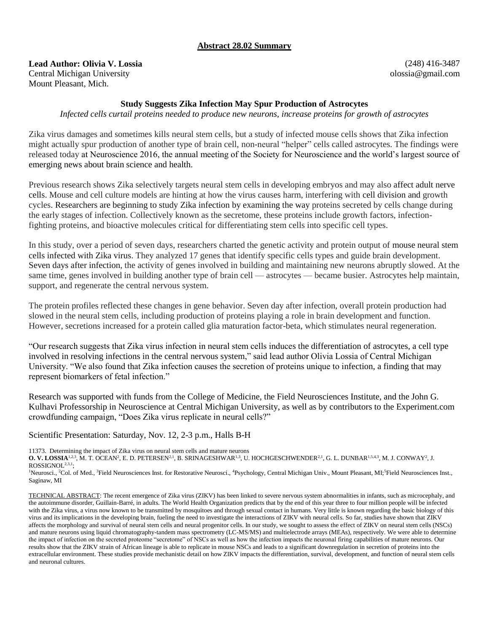### **Abstract 28.02 Summary**

**Lead Author: Olivia V. Lossia** Central Michigan University Mount Pleasant, Mich.

(248) 416-3487 olossia@gmail.com

#### **Study Suggests Zika Infection May Spur Production of Astrocytes**

*Infected cells curtail proteins needed to produce new neurons, increase proteins for growth of astrocytes*

Zika virus damages and sometimes kills neural stem cells, but a study of infected mouse cells shows that Zika infection might actually spur production of another type of brain cell, non-neural "helper" cells called astrocytes. The findings were released today at Neuroscience 2016, the annual meeting of the Society for Neuroscience and the world's largest source of emerging news about brain science and health.

Previous research shows Zika selectively targets neural stem cells in developing embryos and may also affect adult nerve cells. Mouse and cell culture models are hinting at how the virus causes harm, interfering with cell division and growth cycles. Researchers are beginning to study Zika infection by examining the way proteins secreted by cells change during the early stages of infection. Collectively known as the secretome, these proteins include growth factors, infectionfighting proteins, and bioactive molecules critical for differentiating stem cells into specific cell types.

In this study, over a period of seven days, researchers charted the genetic activity and protein output of mouse neural stem cells infected with Zika virus. They analyzed 17 genes that identify specific cells types and guide brain development. Seven days after infection, the activity of genes involved in building and maintaining new neurons abruptly slowed. At the same time, genes involved in building another type of brain cell — astrocytes — became busier. Astrocytes help maintain, support, and regenerate the central nervous system.

The protein profiles reflected these changes in gene behavior. Seven day after infection, overall protein production had slowed in the neural stem cells, including production of proteins playing a role in brain development and function. However, secretions increased for a protein called glia maturation factor-beta, which stimulates neural regeneration.

"Our research suggests that Zika virus infection in neural stem cells induces the differentiation of astrocytes, a cell type involved in resolving infections in the central nervous system," said lead author Olivia Lossia of Central Michigan University. "We also found that Zika infection causes the secretion of proteins unique to infection, a finding that may represent biomarkers of fetal infection."

Research was supported with funds from the College of Medicine, the Field Neurosciences Institute, and the John G. Kulhavi Professorship in Neuroscience at Central Michigan University, as well as by contributors to the Experiment.com crowdfunding campaign, "Does Zika virus replicate in neural cells?"

Scientific Presentation: Saturday, Nov. 12, 2-3 p.m., Halls B-H

11373. Determining the impact of Zika virus on neural stem cells and mature neurons

**O. V. LOSSIA**<sup>1,2,3</sup>, M. T. OCEAN<sup>2</sup>, E. D. PETERSEN<sup>2,1</sup>, B. SRINAGESHWAR<sup>1,3</sup>, U. HOCHGESCHWENDER<sup>2,1</sup>, G. L. DUNBAR<sup>1,5,4,3</sup>, M. J. CONWAY<sup>2</sup>, J.  $\label{eq:crossIGNOL} \mbox{ROSSIGNOL}^{2,3,1} \mbox{:}$ 

<sup>1</sup>Neurosci., <sup>2</sup>Col. of Med., <sup>3</sup>Field Neurosciences Inst. for Restorative Neurosci., <sup>4</sup>Psychology, Central Michigan Univ., Mount Pleasant, MI;<sup>5</sup>Field Neurosciences Inst., Saginaw, MI

TECHNICAL ABSTRACT: The recent emergence of Zika virus (ZIKV) has been linked to severe nervous system abnormalities in infants, such as microcephaly, and the autoimmune disorder, Guillain-Barré, in adults. The World Health Organization predicts that by the end of this year three to four million people will be infected with the Zika virus, a virus now known to be transmitted by mosquitoes and through sexual contact in humans. Very little is known regarding the basic biology of this virus and its implications in the developing brain, fueling the need to investigate the interactions of ZIKV with neural cells. So far, studies have shown that ZIKV affects the morphology and survival of neural stem cells and neural progenitor cells. In our study, we sought to assess the effect of ZIKV on neural stem cells (NSCs) and mature neurons using liquid chromatography-tandem mass spectrometry (LC-MS/MS) and multielectrode arrays (MEAs), respectively. We were able to determine the impact of infection on the secreted proteome "secretome" of NSCs as well as how the infection impacts the neuronal firing capabilities of mature neurons. Our results show that the ZIKV strain of African lineage is able to replicate in mouse NSCs and leads to a significant downregulation in secretion of proteins into the extracellular environment. These studies provide mechanistic detail on how ZIKV impacts the differentiation, survival, development, and function of neural stem cells and neuronal cultures.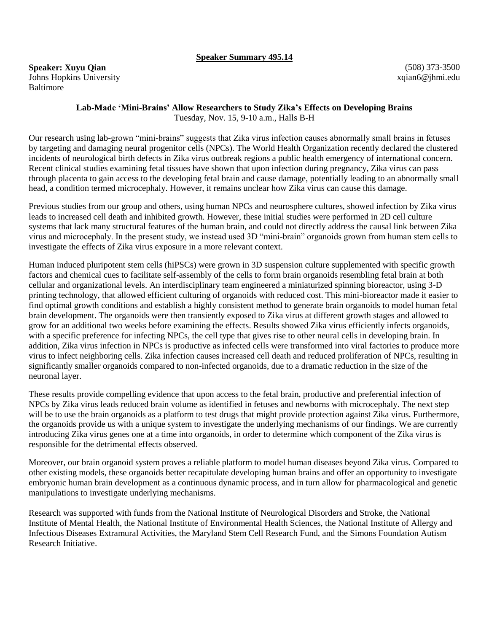### **Speaker Summary 495.14**

(508) 373-3500 xqian6@jhmi.edu

#### **Lab-Made 'Mini-Brains' Allow Researchers to Study Zika's Effects on Developing Brains** Tuesday, Nov. 15, 9-10 a.m., Halls B-H

Our research using lab-grown "mini-brains" suggests that Zika virus infection causes abnormally small brains in fetuses by targeting and damaging neural progenitor cells (NPCs). The World Health Organization recently declared the clustered incidents of neurological birth defects in Zika virus outbreak regions a public health emergency of international concern. Recent clinical studies examining fetal tissues have shown that upon infection during pregnancy, Zika virus can pass through placenta to gain access to the developing fetal brain and cause damage, potentially leading to an abnormally small head, a condition termed microcephaly. However, it remains unclear how Zika virus can cause this damage.

Previous studies from our group and others, using human NPCs and neurosphere cultures, showed infection by Zika virus leads to increased cell death and inhibited growth. However, these initial studies were performed in 2D cell culture systems that lack many structural features of the human brain, and could not directly address the causal link between Zika virus and microcephaly. In the present study, we instead used 3D "mini-brain" organoids grown from human stem cells to investigate the effects of Zika virus exposure in a more relevant context.

Human induced pluripotent stem cells (hiPSCs) were grown in 3D suspension culture supplemented with specific growth factors and chemical cues to facilitate self-assembly of the cells to form brain organoids resembling fetal brain at both cellular and organizational levels. An interdisciplinary team engineered a miniaturized spinning bioreactor, using 3-D printing technology, that allowed efficient culturing of organoids with reduced cost. This mini-bioreactor made it easier to find optimal growth conditions and establish a highly consistent method to generate brain organoids to model human fetal brain development. The organoids were then transiently exposed to Zika virus at different growth stages and allowed to grow for an additional two weeks before examining the effects. Results showed Zika virus efficiently infects organoids, with a specific preference for infecting NPCs, the cell type that gives rise to other neural cells in developing brain. In addition, Zika virus infection in NPCs is productive as infected cells were transformed into viral factories to produce more virus to infect neighboring cells. Zika infection causes increased cell death and reduced proliferation of NPCs, resulting in significantly smaller organoids compared to non-infected organoids, due to a dramatic reduction in the size of the neuronal layer.

These results provide compelling evidence that upon access to the fetal brain, productive and preferential infection of NPCs by Zika virus leads reduced brain volume as identified in fetuses and newborns with microcephaly. The next step will be to use the brain organoids as a platform to test drugs that might provide protection against Zika virus. Furthermore, the organoids provide us with a unique system to investigate the underlying mechanisms of our findings. We are currently introducing Zika virus genes one at a time into organoids, in order to determine which component of the Zika virus is responsible for the detrimental effects observed.

Moreover, our brain organoid system proves a reliable platform to model human diseases beyond Zika virus. Compared to other existing models, these organoids better recapitulate developing human brains and offer an opportunity to investigate embryonic human brain development as a continuous dynamic process, and in turn allow for pharmacological and genetic manipulations to investigate underlying mechanisms.

Research was supported with funds from the National Institute of Neurological Disorders and Stroke, the National Institute of Mental Health, the National Institute of Environmental Health Sciences, the National Institute of Allergy and Infectious Diseases Extramural Activities, the Maryland Stem Cell Research Fund, and the Simons Foundation Autism Research Initiative.